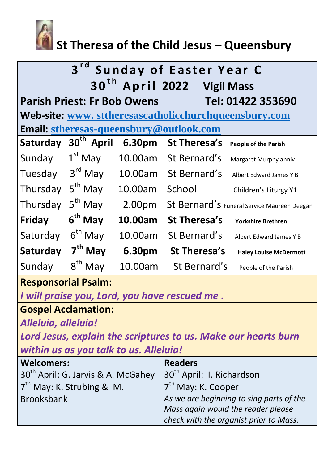

# **St Theresa of the Child Jesus – Queensbury**

| 3 <sup>rd</sup><br><b>Sunday of Easter Year C</b><br>30 <sup>th</sup> April 2022 Vigil Mass |                        |         |                      |                                             |  |  |
|---------------------------------------------------------------------------------------------|------------------------|---------|----------------------|---------------------------------------------|--|--|
| <b>Parish Priest: Fr Bob Owens</b><br>Tel: 01422 353690                                     |                        |         |                      |                                             |  |  |
| Web-site: www.sttheresascatholicchurchqueensbury.com                                        |                        |         |                      |                                             |  |  |
| Email: stheresas-queensbury@outlook.com                                                     |                        |         |                      |                                             |  |  |
| Saturday                                                                                    | 30 <sup>th</sup> April | 6.30pm  | <b>St Theresa's</b>  | <b>People of the Parish</b>                 |  |  |
| Sunday                                                                                      | $1st$ May              |         | 10.00am St Bernard's | Margaret Murphy anniv                       |  |  |
| Tuesday                                                                                     | 3 <sup>rd</sup> May    |         | 10.00am St Bernard's | Albert Edward James Y B                     |  |  |
| Thursday                                                                                    | $5th$ May              | 10.00am | School               | Children's Liturgy Y1                       |  |  |
| Thursday                                                                                    | 5 <sup>th</sup> May    | 2.00pm  |                      | St Bernard's Funeral Service Maureen Deegan |  |  |
| <b>Friday</b>                                                                               | $6th$ May              | 10.00am | <b>St Theresa's</b>  | <b>Yorkshire Brethren</b>                   |  |  |
| Saturday                                                                                    | $6th$ May              | 10.00am | St Bernard's         | Albert Edward James Y B                     |  |  |
| Saturday                                                                                    | $7th$ May              | 6.30pm  | <b>St Theresa's</b>  | <b>Haley Louise McDermott</b>               |  |  |
| Sunday                                                                                      | $8^{\text{th}}$<br>May | 10.00am | St Bernard's         | People of the Parish                        |  |  |

### **Responsorial Psalm:**

*I will praise you, Lord, you have rescued me .*

## **Gospel Acclamation:**

*Alleluia, alleluia!*

*Lord Jesus, explain the scriptures to us. Make our hearts burn within us as you talk to us. Alleluia!*

| <b>Welcomers:</b>                              | <b>Readers</b>                           |  |
|------------------------------------------------|------------------------------------------|--|
| 30 <sup>th</sup> April: G. Jarvis & A. McGahey | 30 <sup>th</sup> April: I. Richardson    |  |
| $7th$ May: K. Strubing & M.                    | $7th$ May: K. Cooper                     |  |
| <b>Brooksbank</b>                              | As we are beginning to sing parts of the |  |
|                                                | Mass again would the reader please       |  |
|                                                | check with the organist prior to Mass.   |  |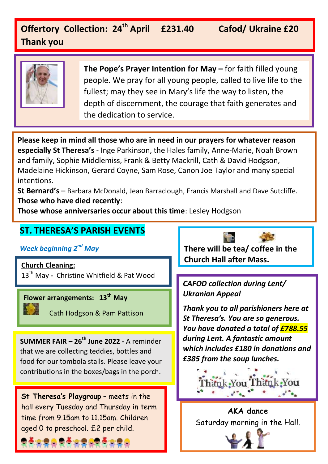### **Offertory Collection: 24th April £231.40 Cafod/ Ukraine £20 Thank you**



**The Pope's Prayer Intention for May –** for faith filled young people. We pray for all young people, called to live life to the fullest; may they see in Mary's life the way to listen, the depth of discernment, the courage that faith generates and the dedication to service.

**Please keep in mind all those who are in need in our prayers for whatever reason especially St Theresa's** - Inge Parkinson, the Hales family, Anne-Marie, Noah Brown and family, Sophie Middlemiss, Frank & Betty Mackrill, Cath & David Hodgson, Madelaine Hickinson, Gerard Coyne, Sam Rose, Canon Joe Taylor and many special intentions.

**St Bernard's** – Barbara McDonald, Jean Barraclough, Francis Marshall and Dave Sutcliffe. **Those who have died recently**:

 $\overline{a}$ 

**Those whose anniversaries occur about this time**: Lesley Hodgson

#### **ST. THERESA'S PARISH EVENTS**

*Week beginning 2nd May*

13th May **-** Christine Whitfield & Pat Wood

**Flower arrangements: 13th May** 

Cath Hodgson & Pam Pattison

**SUMMER FAIR – 26th June 2022 -** A reminder that we are collecting teddies, bottles and food for our tombola stalls. Please leave your contributions in the boxes/bags in the porch.

**St Theresa's Playgroup** – meets in the hall every Tuesday and Thursday in term time from 9.15am to 11.15am. Children aged 0 to preschool. £2 per child.

**There will be tea/ coffee in the Church Hall after Mass. Church Cleaning:** 

> *CAFOD collection during Lent/ Ukranian Appeal*

*Thank you to all parishioners here at St Theresa's. You are so generous. You have donated a total of £788.55 during Lent. A fantastic amount which includes £180 in donations and £385 from the soup lunches.* 



**AKA dance**  Saturday morning in the Hall.

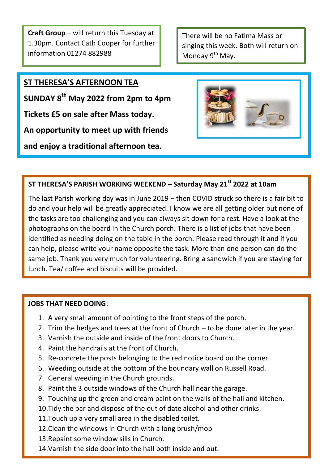**Craft Group** – will return this Tuesday at 1.30pm. Contact Cath Cooper for further information 01274 882988

There will be no Fatima Mass or singing this week. Both will return on Monday 9<sup>th</sup> May.

### **ST THERESA'S AFTERNOON TEA**

֖֖֖֖֖֖֖֖֖֖֪ׅ֖֖֪֪ׅ֖֖֚֚֚֚֚֚֚֚֚֚֚֚֚֚֚֚֚֚֚֚֬֝֝֝֝֝֝֝֝֝

**SUNDAY 8th May 2022 from 2pm to 4pm**

**Tickets £5 on sale after Mass today.**

**An opportunity to meet up with friends**

**and enjoy a traditional afternoon tea.**



#### **ST THERESA'S PARISH WORKING WEEKEND – Saturday May 21st 2022 at 10am**

The last Parish working day was in June 2019 – then COVID struck so there is a fair bit to do and your help will be greatly appreciated. I know we are all getting older but none of the tasks are too challenging and you can always sit down for a rest. Have a look at the photographs on the board in the Church porch. There is a list of jobs that have been identified as needing doing on the table in the porch. Please read through it and if you can help, please write your name opposite the task. More than one person can do the same job. Thank you very much for volunteering. Bring a sandwich if you are staying for lunch. Tea/ coffee and biscuits will be provided.

#### **JOBS THAT NEED DOING**:

- 1. A very small amount of pointing to the front steps of the porch.
- 2. Trim the hedges and trees at the front of Church to be done later in the year.
- 3. Varnish the outside and inside of the front doors to Church.
- 4. Paint the handrails at the front of Church.
- 5. Re-concrete the posts belonging to the red notice board on the corner.
- 6. Weeding outside at the bottom of the boundary wall on Russell Road.
- 7. General weeding in the Church grounds.
- 8. Paint the 3 outside windows of the Church hall near the garage.
- 9. Touching up the green and cream paint on the walls of the hall and kitchen.
- 10.Tidy the bar and dispose of the out of date alcohol and other drinks.
- 11.Touch up a very small area in the disabled toilet.
- 12.Clean the windows in Church with a long brush/mop
- 13.Repaint some window sills in Church.
- 14.Varnish the side door into the hall both inside and out.